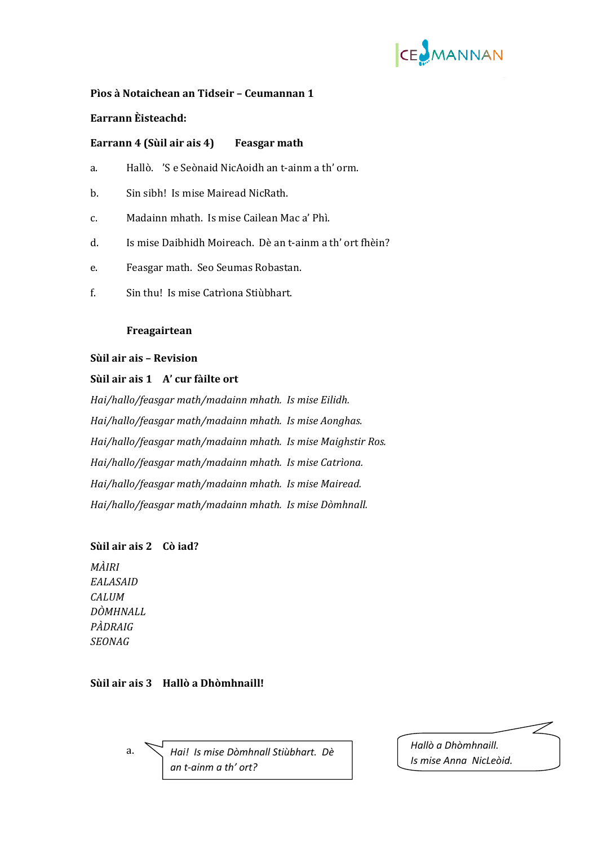

## **Pìos à Notaichean an Tidseir – Ceumannan 1**

## **Earrann Èisteachd:**

## **Ea 4 (Sù l air ais 4) Feasgar math rrann i**

- a. Hallò. 'S e Seònaid NicAoidh an t-ainm a th' orm.
- b. Sin sibh! Is mise Mairead NicRath.
- c. Madainn mhath. Is mise Cailean Mac a' Phì.
- d. Is mise Daibhidh Moireach. Dè an t‐ainm a th' ort fhèin?
- e. Feasgar math. Seo Seumas Robastan.
- f. Sin thu! Is mise Catrìona Stiùbhart.

#### **Freagairtean**

#### **Sùil air ais – Revision**

## **Sùil air ais 1 A' cur fàilte ort**

*Hai/hallo/feasgar math/madainn mhath. Is mise Eilidh. Hai/hallo/feasgar math/madainn mhath. Is mise Aonghas. Hai/hallo/feasgar math/madainn mhath. Is mise Maighstir Ros. Hai/hallo/feasgar math/madainn mhath. Is mise Catrìona. Hai/hallo/feasgar math/madainn mhath. Is mise Mairead. Hai/hallo/feasgar math/madainn mhath. Is mise Dòmhnall.*

## **Sùil air ais 2 Cò iad?**

*MÀIRI EALASAID CALUM DÒMHNALL PÀDRAIG SEONAG*

### **Sùil air ais 3 Hallò a Dhòmhnaill!**

 a. *Hallò a Dhòmhnaill. Hai! Is mise Dòmhnall Stiùbhart. Dè an t‐ainm a th' ort?*

*Is mise Anna NicLeòid.*